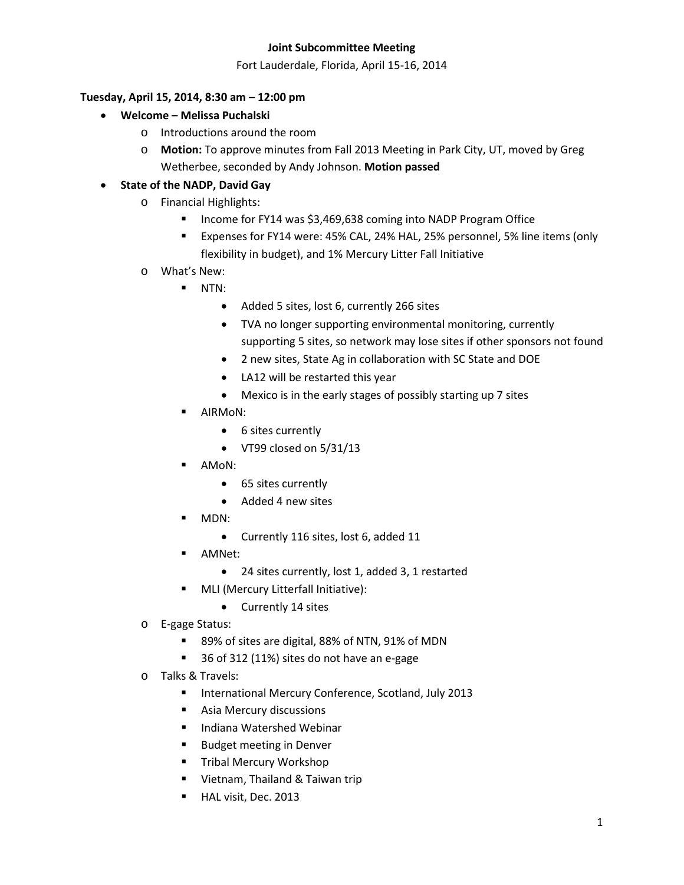Fort Lauderdale, Florida, April 15-16, 2014

#### **Tuesday, April 15, 2014, 8:30 am – 12:00 pm**

- **Welcome Melissa Puchalski**
	- o Introductions around the room
	- o **Motion:** To approve minutes from Fall 2013 Meeting in Park City, UT, moved by Greg Wetherbee, seconded by Andy Johnson. **Motion passed**

## • **State of the NADP, David Gay**

- o Financial Highlights:
	- Income for FY14 was \$3,469,638 coming into NADP Program Office
	- Expenses for FY14 were: 45% CAL, 24% HAL, 25% personnel, 5% line items (only flexibility in budget), and 1% Mercury Litter Fall Initiative
- o What's New:
	- **NTN:** 
		- Added 5 sites, lost 6, currently 266 sites
		- TVA no longer supporting environmental monitoring, currently supporting 5 sites, so network may lose sites if other sponsors not found
		- 2 new sites, State Ag in collaboration with SC State and DOE
		- LA12 will be restarted this year
		- Mexico is in the early stages of possibly starting up 7 sites
	- AIRMoN:
		- 6 sites currently
		- VT99 closed on 5/31/13
	- AMoN:
		- 65 sites currently
		- Added 4 new sites
	- MDN:
		- Currently 116 sites, lost 6, added 11
	- AMNet:
		- 24 sites currently, lost 1, added 3, 1 restarted
	- MLI (Mercury Litterfall Initiative):
		- Currently 14 sites
- o E-gage Status:
	- 89% of sites are digital, 88% of NTN, 91% of MDN
	- 36 of 312 (11%) sites do not have an e-gage
- o Talks & Travels:
	- **International Mercury Conference, Scotland, July 2013**
	- **Asia Mercury discussions**
	- **Indiana Watershed Webinar**
	- Budget meeting in Denver
	- **Tribal Mercury Workshop**
	- **UI** Vietnam, Thailand & Taiwan trip
	- **HAL visit, Dec. 2013**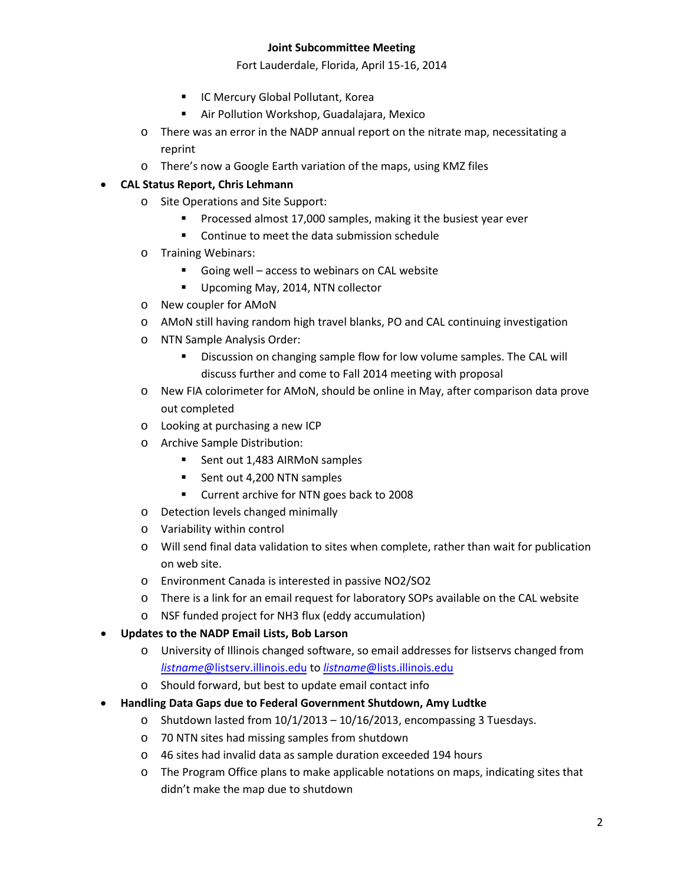Fort Lauderdale, Florida, April 15-16, 2014

- **IC Mercury Global Pollutant, Korea**
- **E** Air Pollution Workshop, Guadalajara, Mexico
- o There was an error in the NADP annual report on the nitrate map, necessitating a reprint
- o There's now a Google Earth variation of the maps, using KMZ files

### • **CAL Status Report, Chris Lehmann**

- o Site Operations and Site Support:
	- Processed almost 17,000 samples, making it the busiest year ever
	- **EXECONTINUM** Continue to meet the data submission schedule
- o Training Webinars:
	- Going well access to webinars on CAL website
	- **Upcoming May, 2014, NTN collector**
- o New coupler for AMoN
- o AMoN still having random high travel blanks, PO and CAL continuing investigation
- o NTN Sample Analysis Order:
	- Discussion on changing sample flow for low volume samples. The CAL will discuss further and come to Fall 2014 meeting with proposal
- o New FIA colorimeter for AMoN, should be online in May, after comparison data prove out completed
- o Looking at purchasing a new ICP
- o Archive Sample Distribution:
	- Sent out 1,483 AIRMoN samples
	- Sent out 4,200 NTN samples
	- Current archive for NTN goes back to 2008
- o Detection levels changed minimally
- o Variability within control
- o Will send final data validation to sites when complete, rather than wait for publication on web site.
- o Environment Canada is interested in passive NO2/SO2
- o There is a link for an email request for laboratory SOPs available on the CAL website
- o NSF funded project for NH3 flux (eddy accumulation)
- **Updates to the NADP Email Lists, Bob Larson**
	- o University of Illinois changed software, so email addresses for listservs changed from *listname*[@listserv.illinois.edu](mailto:listname@listserv.illinois.edu) to *listname*[@lists.illinois.edu](mailto:listname@lists.illinois.edu)
	- o Should forward, but best to update email contact info
- **Handling Data Gaps due to Federal Government Shutdown, Amy Ludtke**
	- o Shutdown lasted from 10/1/2013 10/16/2013, encompassing 3 Tuesdays.
	- o 70 NTN sites had missing samples from shutdown
	- o 46 sites had invalid data as sample duration exceeded 194 hours
	- o The Program Office plans to make applicable notations on maps, indicating sites that didn't make the map due to shutdown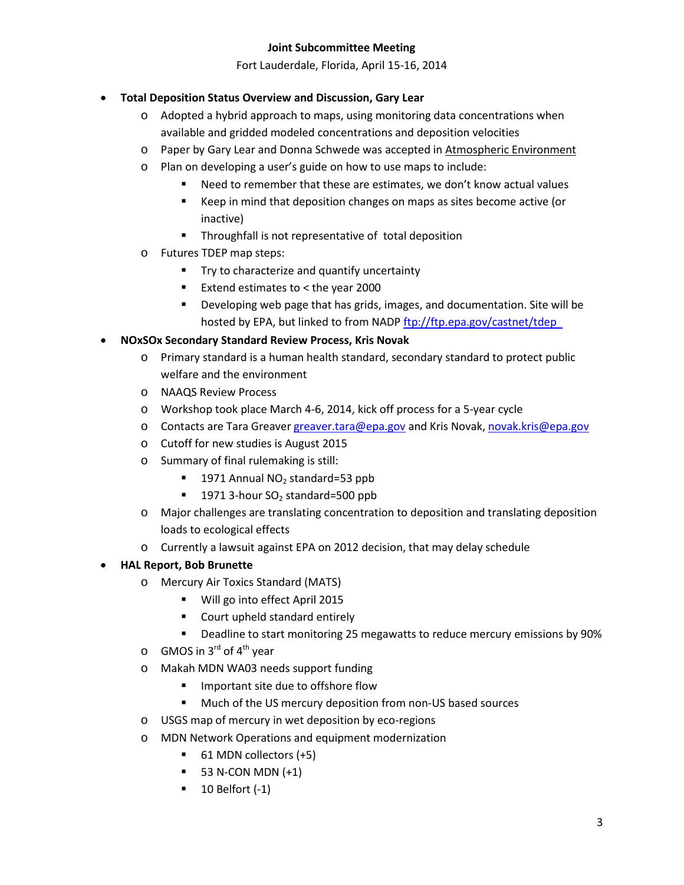Fort Lauderdale, Florida, April 15-16, 2014

- **Total Deposition Status Overview and Discussion, Gary Lear**
	- o Adopted a hybrid approach to maps, using monitoring data concentrations when available and gridded modeled concentrations and deposition velocities
	- o Paper by Gary Lear and Donna Schwede was accepted in Atmospheric Environment
	- o Plan on developing a user's guide on how to use maps to include:
		- Need to remember that these are estimates, we don't know actual values
		- Keep in mind that deposition changes on maps as sites become active (or inactive)
		- **Throughfall is not representative of total deposition**
	- o Futures TDEP map steps:
		- **Try to characterize and quantify uncertainty**
		- **Extend estimates to < the year 2000**
		- Developing web page that has grids, images, and documentation. Site will be hosted by EPA, but linked to from NADP<ftp://ftp.epa.gov/castnet/tdep>

## • **NOxSOx Secondary Standard Review Process, Kris Novak**

- o Primary standard is a human health standard, secondary standard to protect public welfare and the environment
- o NAAQS Review Process
- o Workshop took place March 4-6, 2014, kick off process for a 5-year cycle
- o Contacts are Tara Greaver [greaver.tara@epa.gov](mailto:greaver.tara@epa.gov) and Kris Novak, [novak.kris@epa.gov](mailto:novak.kris@epa.gov)
- o Cutoff for new studies is August 2015
- o Summary of final rulemaking is still:
	- **1971 Annual NO<sub>2</sub>** standard=53 ppb
	- $\blacksquare$  1971 3-hour SO<sub>2</sub> standard=500 ppb
- o Major challenges are translating concentration to deposition and translating deposition loads to ecological effects
- o Currently a lawsuit against EPA on 2012 decision, that may delay schedule

# • **HAL Report, Bob Brunette**

- o Mercury Air Toxics Standard (MATS)
	- **Will go into effect April 2015**
	- Court upheld standard entirely
	- Deadline to start monitoring 25 megawatts to reduce mercury emissions by 90%
- $\circ$  GMOS in 3<sup>rd</sup> of 4<sup>th</sup> year
- o Makah MDN WA03 needs support funding
	- **IDED** Important site due to offshore flow
	- **Much of the US mercury deposition from non-US based sources**
- o USGS map of mercury in wet deposition by eco-regions
- o MDN Network Operations and equipment modernization
	- 61 MDN collectors (+5)
	- $\blacksquare$  53 N-CON MDN (+1)
	- $\blacksquare$  10 Belfort (-1)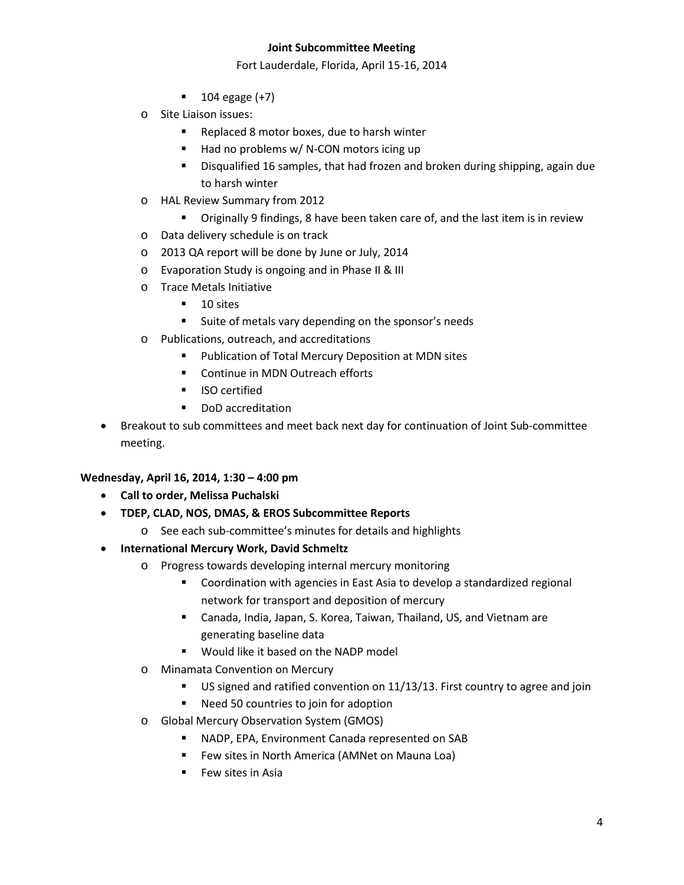Fort Lauderdale, Florida, April 15-16, 2014

- $104$  egage  $(+7)$
- o Site Liaison issues:
	- Replaced 8 motor boxes, due to harsh winter
	- $H$  Had no problems w/ N-CON motors icing up
	- **Disqualified 16 samples, that had frozen and broken during shipping, again due** to harsh winter
- o HAL Review Summary from 2012
	- Originally 9 findings, 8 have been taken care of, and the last item is in review
- o Data delivery schedule is on track
- o 2013 QA report will be done by June or July, 2014
- o Evaporation Study is ongoing and in Phase II & III
- o Trace Metals Initiative
	- $-10$  sites
	- Suite of metals vary depending on the sponsor's needs
- o Publications, outreach, and accreditations
	- Publication of Total Mercury Deposition at MDN sites
	- Continue in MDN Outreach efforts
	- **ISO** certified
	- **•** DoD accreditation
- Breakout to sub committees and meet back next day for continuation of Joint Sub-committee meeting.

## **Wednesday, April 16, 2014, 1:30 – 4:00 pm**

- **Call to order, Melissa Puchalski**
- **TDEP, CLAD, NOS, DMAS, & EROS Subcommittee Reports**
	- o See each sub-committee's minutes for details and highlights
- **International Mercury Work, David Schmeltz**
	- o Progress towards developing internal mercury monitoring
		- Coordination with agencies in East Asia to develop a standardized regional network for transport and deposition of mercury
		- Canada, India, Japan, S. Korea, Taiwan, Thailand, US, and Vietnam are generating baseline data
		- **Would like it based on the NADP model**
	- o Minamata Convention on Mercury
		- US signed and ratified convention on 11/13/13. First country to agree and join
		- Need 50 countries to join for adoption
	- o Global Mercury Observation System (GMOS)
		- NADP, EPA, Environment Canada represented on SAB
		- **Few sites in North America (AMNet on Mauna Loa)**
		- $\blacksquare$  Few sites in Asia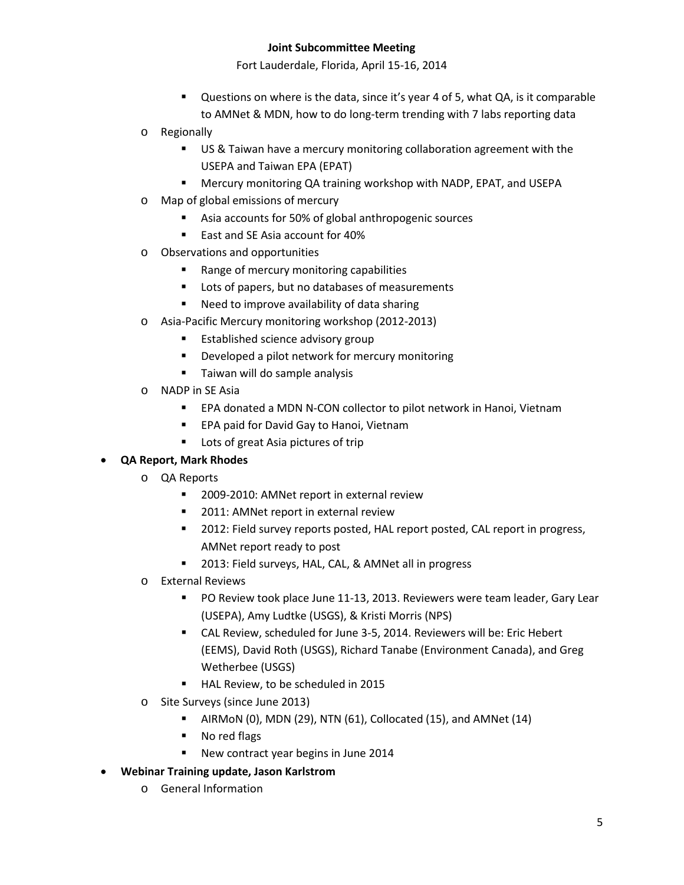Fort Lauderdale, Florida, April 15-16, 2014

- Questions on where is the data, since it's year 4 of 5, what QA, is it comparable to AMNet & MDN, how to do long-term trending with 7 labs reporting data
- o Regionally
	- US & Taiwan have a mercury monitoring collaboration agreement with the USEPA and Taiwan EPA (EPAT)
	- Mercury monitoring QA training workshop with NADP, EPAT, and USEPA
- o Map of global emissions of mercury
	- Asia accounts for 50% of global anthropogenic sources
	- East and SE Asia account for 40%
- o Observations and opportunities
	- **Range of mercury monitoring capabilities**
	- **Lots of papers, but no databases of measurements**
	- Need to improve availability of data sharing
- o Asia-Pacific Mercury monitoring workshop (2012-2013)
	- **Established science advisory group**
	- **•** Developed a pilot network for mercury monitoring
	- **Taiwan will do sample analysis**
- o NADP in SE Asia
	- EPA donated a MDN N-CON collector to pilot network in Hanoi, Vietnam
	- **EPA paid for David Gay to Hanoi, Vietnam**
	- **Lots of great Asia pictures of trip**

## • **QA Report, Mark Rhodes**

- o QA Reports
	- **2009-2010: AMNet report in external review**
	- 2011: AMNet report in external review
	- **2012: Field survey reports posted, HAL report posted, CAL report in progress,** AMNet report ready to post
	- **2013: Field surveys, HAL, CAL, & AMNet all in progress**
- o External Reviews
	- **PO Review took place June 11-13, 2013. Reviewers were team leader, Gary Lear** (USEPA), Amy Ludtke (USGS), & Kristi Morris (NPS)
	- CAL Review, scheduled for June 3-5, 2014. Reviewers will be: Eric Hebert (EEMS), David Roth (USGS), Richard Tanabe (Environment Canada), and Greg Wetherbee (USGS)
	- HAL Review, to be scheduled in 2015
- o Site Surveys (since June 2013)
	- AIRMON (0), MDN (29), NTN (61), Collocated (15), and AMNet (14)
	- No red flags
	- New contract year begins in June 2014
- **Webinar Training update, Jason Karlstrom**
	- o General Information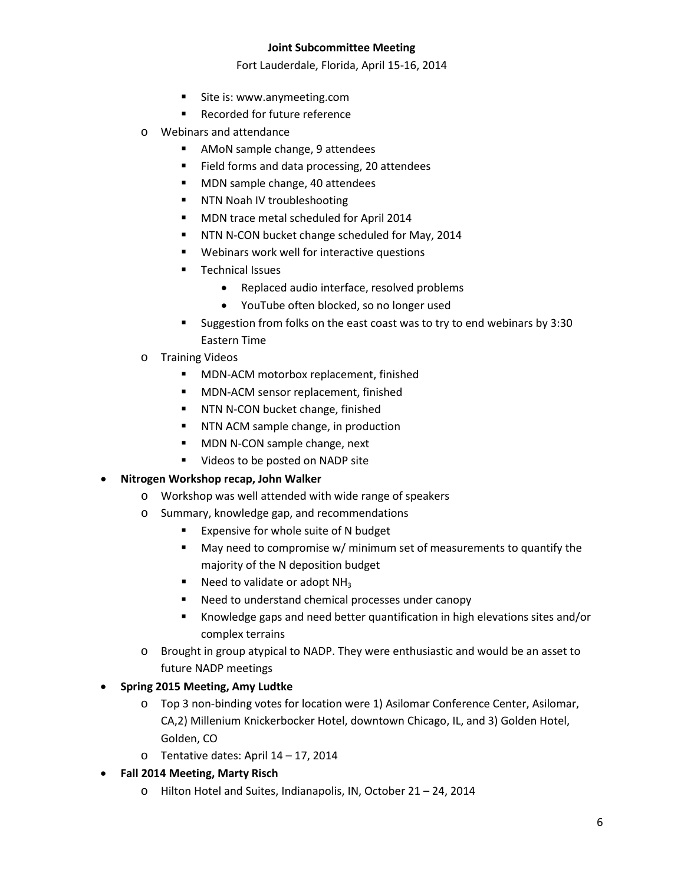Fort Lauderdale, Florida, April 15-16, 2014

- Site is: www.anymeeting.com
- Recorded for future reference
- o Webinars and attendance
	- AMoN sample change, 9 attendees
	- Field forms and data processing, 20 attendees
	- **MDN** sample change, 40 attendees
	- **NTN Noah IV troubleshooting**
	- **MDN** trace metal scheduled for April 2014
	- **NTN N-CON bucket change scheduled for May, 2014**
	- Webinars work well for interactive questions
	- **Technical Issues** 
		- Replaced audio interface, resolved problems
		- YouTube often blocked, so no longer used
	- Suggestion from folks on the east coast was to try to end webinars by 3:30 Eastern Time
- o Training Videos
	- **MDN-ACM motorbox replacement, finished**
	- **MDN-ACM sensor replacement, finished**
	- **NTN N-CON bucket change, finished**
	- **NTN ACM sample change, in production**
	- **MDN N-CON sample change, next**
	- **Videos to be posted on NADP site**

#### • **Nitrogen Workshop recap, John Walker**

- o Workshop was well attended with wide range of speakers
- o Summary, knowledge gap, and recommendations
	- Expensive for whole suite of N budget
		- May need to compromise w/ minimum set of measurements to quantify the majority of the N deposition budget
	- Need to validate or adopt  $NH<sub>3</sub>$
	- **Need to understand chemical processes under canopy**
	- Knowledge gaps and need better quantification in high elevations sites and/or complex terrains
- o Brought in group atypical to NADP. They were enthusiastic and would be an asset to future NADP meetings
- **Spring 2015 Meeting, Amy Ludtke**
	- o Top 3 non-binding votes for location were 1) Asilomar Conference Center, Asilomar, CA,2) Millenium Knickerbocker Hotel, downtown Chicago, IL, and 3) Golden Hotel, Golden, CO
	- o Tentative dates: April 14 17, 2014
- **Fall 2014 Meeting, Marty Risch**
	- o Hilton Hotel and Suites, Indianapolis, IN, October 21 24, 2014